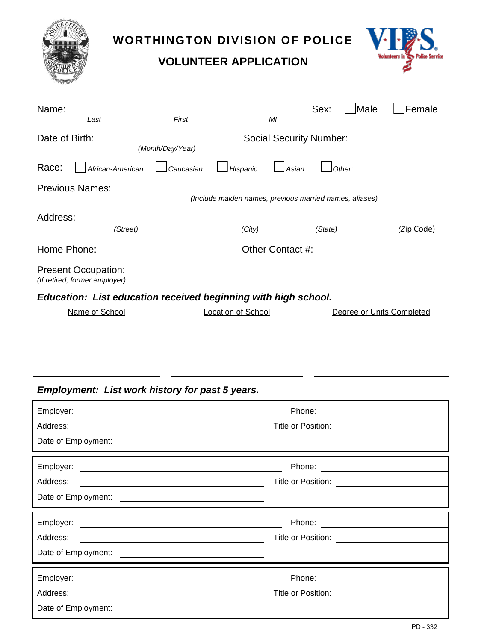

## **WORTHINGTON DIVISION OF POLICE**  $\mathbf{V}$

**VOLUNTEER APPLICATION**



| Name:<br>Last                                                                   | First                                                                                                                 | M <sub>l</sub>              | Sex:               | <b>Male</b>               | Female                           |
|---------------------------------------------------------------------------------|-----------------------------------------------------------------------------------------------------------------------|-----------------------------|--------------------|---------------------------|----------------------------------|
| Date of Birth:<br>(Month/Day/Year)                                              | Social Security Number:                                                                                               |                             |                    |                           |                                  |
| Race:<br>African-American                                                       | $\Box$ Caucasian<br>Hispanic                                                                                          | $\mathsf{\mathsf{J}}$ Asian |                    |                           | $O$ ther: $\qquad \qquad$        |
| <b>Previous Names:</b>                                                          |                                                                                                                       |                             |                    |                           |                                  |
|                                                                                 | (Include maiden names, previous married names, aliases)                                                               |                             |                    |                           |                                  |
| Address:                                                                        |                                                                                                                       |                             |                    |                           |                                  |
| (Street)                                                                        | (City)                                                                                                                |                             | (State)            |                           | (Zip Code)                       |
| Home Phone:                                                                     |                                                                                                                       |                             |                    |                           |                                  |
| <b>Present Occupation:</b><br>(If retired, former employer)                     |                                                                                                                       |                             |                    |                           |                                  |
| Education: List education received beginning with high school.                  |                                                                                                                       |                             |                    |                           |                                  |
| Name of School                                                                  | <b>Location of School</b>                                                                                             |                             |                    | Degree or Units Completed |                                  |
|                                                                                 |                                                                                                                       |                             |                    |                           |                                  |
|                                                                                 |                                                                                                                       |                             |                    |                           |                                  |
| the contract of the contract of the contract of the contract of the contract of |                                                                                                                       |                             |                    |                           |                                  |
|                                                                                 |                                                                                                                       |                             |                    |                           |                                  |
| Employment: List work history for past 5 years.                                 |                                                                                                                       |                             |                    |                           |                                  |
| Employer:                                                                       | <u> 1980 - Johann Barn, mars ann an t-Amhain Aonaich an t-Aonaich an t-Aonaich an t-Aonaich an t-Aonaich an t-Aon</u> |                             |                    |                           |                                  |
| Address:                                                                        | Phone: <u>_______________________</u><br>Title or Position: <u>______________</u>                                     |                             |                    |                           |                                  |
|                                                                                 |                                                                                                                       |                             |                    |                           |                                  |
| Employer:                                                                       |                                                                                                                       | Phone:                      |                    |                           |                                  |
| Address:                                                                        | <u> 1989 - Johann Barn, mars eta bainar eta bainar eta baina eta baina eta baina eta baina eta baina eta baina e</u>  |                             |                    |                           |                                  |
| Date of Employment:                                                             |                                                                                                                       |                             |                    |                           |                                  |
|                                                                                 |                                                                                                                       |                             |                    |                           |                                  |
| Employer:<br>Address:                                                           |                                                                                                                       |                             | Title or Position: |                           |                                  |
|                                                                                 | <u> 1980 - Johann Barn, mars ann an t-Amhain Aonaich an t-Aonaich an t-Aonaich ann an t-Aonaich ann an t-Aonaich</u>  |                             |                    |                           |                                  |
|                                                                                 |                                                                                                                       |                             |                    |                           |                                  |
| Employer:                                                                       | <u> 1989 - Johann Barn, fransk politik formuler (d. 1989)</u>                                                         |                             |                    |                           | Phone: <u>__________________</u> |
| Address:                                                                        | <u> 1989 - Johann Stoff, Amerikaansk politiker (</u>                                                                  |                             | Title or Position: |                           |                                  |
| Date of Employment:                                                             |                                                                                                                       |                             |                    |                           |                                  |